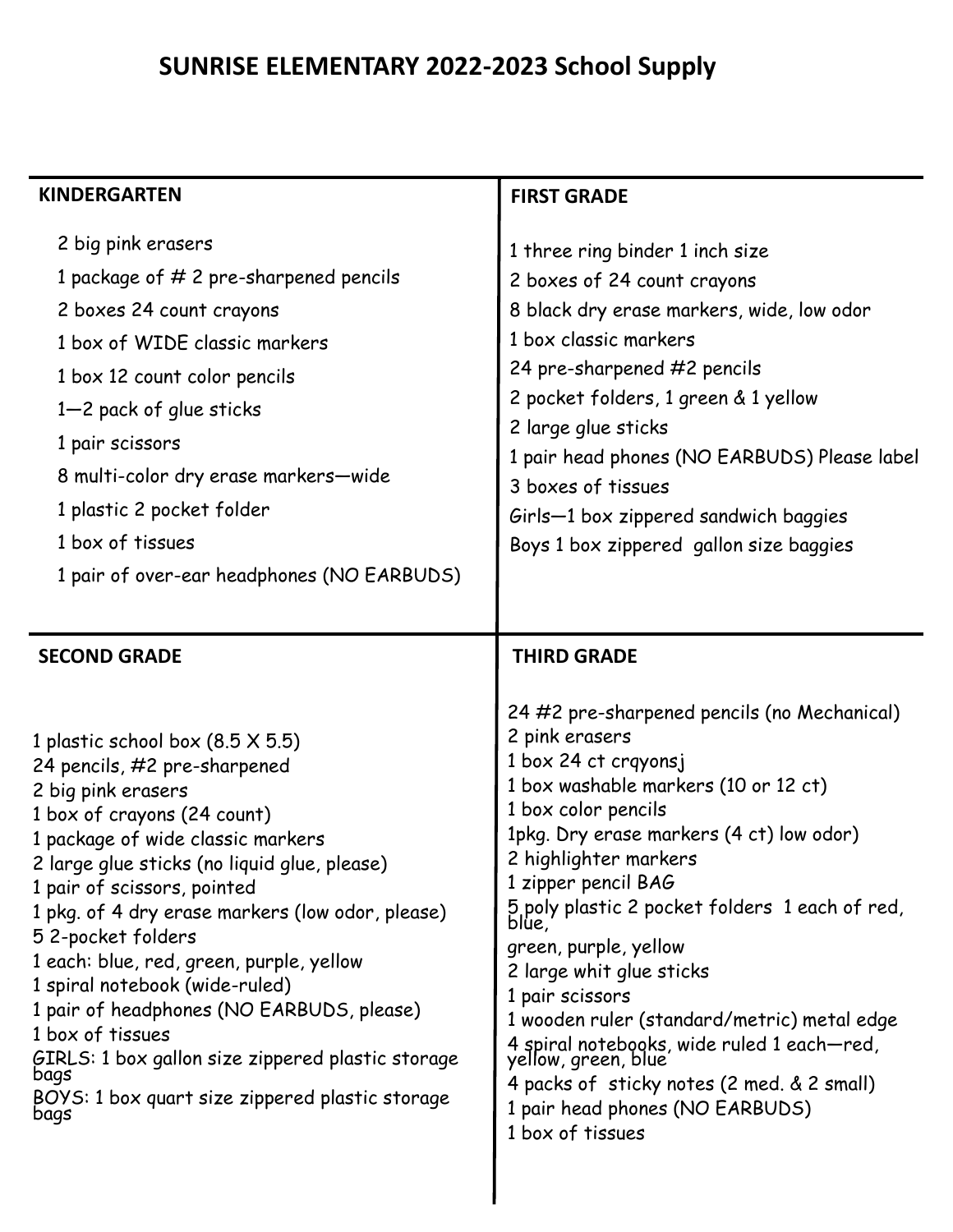## **SUNRISE ELEMENTARY 2022-2023 School Supply**

| <b>KINDERGARTEN</b>                                                                                                                                                                                                                                                                                                                                                                                                                                                                                                                                                                                                     | <b>FIRST GRADE</b>                                                                                                                                                                                                                                                                                                                                                                                                                                                                                                                                                                                                                  |
|-------------------------------------------------------------------------------------------------------------------------------------------------------------------------------------------------------------------------------------------------------------------------------------------------------------------------------------------------------------------------------------------------------------------------------------------------------------------------------------------------------------------------------------------------------------------------------------------------------------------------|-------------------------------------------------------------------------------------------------------------------------------------------------------------------------------------------------------------------------------------------------------------------------------------------------------------------------------------------------------------------------------------------------------------------------------------------------------------------------------------------------------------------------------------------------------------------------------------------------------------------------------------|
| 2 big pink erasers<br>1 package of #2 pre-sharpened pencils<br>2 boxes 24 count crayons<br>1 box of WIDE classic markers<br>1 box 12 count color pencils<br>$1 - 2$ pack of glue sticks<br>1 pair scissors<br>8 multi-color dry erase markers-wide<br>1 plastic 2 pocket folder<br>1 box of tissues<br>1 pair of over-ear headphones (NO EARBUDS)                                                                                                                                                                                                                                                                       | 1 three ring binder 1 inch size<br>2 boxes of 24 count crayons<br>8 black dry erase markers, wide, low odor<br>1 box classic markers<br>24 pre-sharpened #2 pencils<br>2 pocket folders, 1 green & 1 yellow<br>2 large glue sticks<br>1 pair head phones (NO EARBUDS) Please label<br>3 boxes of tissues<br>Girls-1 box zippered sandwich baggies<br>Boys 1 box zippered gallon size baggies                                                                                                                                                                                                                                        |
| <b>SECOND GRADE</b><br>1 plastic school box $(8.5 \times 5.5)$<br>24 pencils, #2 pre-sharpened<br>2 big pink erasers<br>1 box of crayons (24 count)<br>1 package of wide classic markers<br>2 large glue sticks (no liquid glue, please)<br>1 pair of scissors, pointed<br>1 pkg. of 4 dry erase markers (low odor, please)<br>52-pocket folders<br>1 each: blue, red, green, purple, yellow<br>1 spiral notebook (wide-ruled)<br>1 pair of headphones (NO EARBUDS, please)<br>1 box of tissues<br>GIRLS: 1 box gallon size zippered plastic storage<br>bags<br>BOYS: 1 box quart size zippered plastic storage<br>bags | <b>THIRD GRADE</b><br>24 #2 pre-sharpened pencils (no Mechanical)<br>2 pink erasers<br>1 box 24 ct crqyonsj<br>1 box washable markers (10 or 12 ct)<br>1 box color pencils<br>1pkg. Dry erase markers (4 ct) low odor)<br>2 highlighter markers<br>1 zipper pencil BAG<br>5, poly plastic 2 pocket folders 1 each of red,<br>blue,<br>green, purple, yellow<br>2 large whit glue sticks<br>1 pair scissors<br>1 wooden ruler (standard/metric) metal edge<br>4 spiral notebooks, wide ruled 1 each-red,<br>yellow, green, blue<br>4 packs of sticky notes (2 med. & 2 small)<br>1 pair head phones (NO EARBUDS)<br>1 box of tissues |